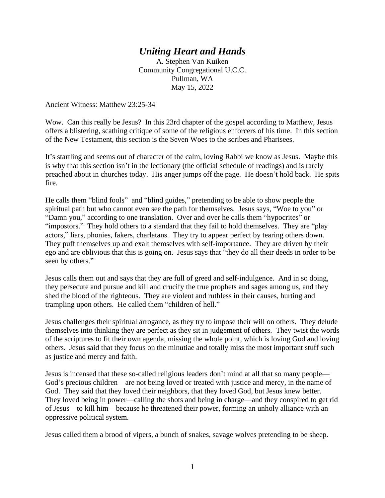## *Uniting Heart and Hands*

A. Stephen Van Kuiken Community Congregational U.C.C. Pullman, WA May 15, 2022

Ancient Witness: Matthew 23:25-34

Wow. Can this really be Jesus? In this 23rd chapter of the gospel according to Matthew, Jesus offers a blistering, scathing critique of some of the religious enforcers of his time. In this section of the New Testament, this section is the Seven Woes to the scribes and Pharisees.

It's startling and seems out of character of the calm, loving Rabbi we know as Jesus. Maybe this is why that this section isn't in the lectionary (the official schedule of readings) and is rarely preached about in churches today. His anger jumps off the page. He doesn't hold back. He spits fire.

He calls them "blind fools" and "blind guides," pretending to be able to show people the spiritual path but who cannot even see the path for themselves. Jesus says, "Woe to you" or "Damn you," according to one translation. Over and over he calls them "hypocrites" or "impostors." They hold others to a standard that they fail to hold themselves. They are "play actors," liars, phonies, fakers, charlatans. They try to appear perfect by tearing others down. They puff themselves up and exalt themselves with self-importance. They are driven by their ego and are oblivious that this is going on. Jesus says that "they do all their deeds in order to be seen by others."

Jesus calls them out and says that they are full of greed and self-indulgence. And in so doing, they persecute and pursue and kill and crucify the true prophets and sages among us, and they shed the blood of the righteous. They are violent and ruthless in their causes, hurting and trampling upon others. He called them "children of hell."

Jesus challenges their spiritual arrogance, as they try to impose their will on others. They delude themselves into thinking they are perfect as they sit in judgement of others. They twist the words of the scriptures to fit their own agenda, missing the whole point, which is loving God and loving others. Jesus said that they focus on the minutiae and totally miss the most important stuff such as justice and mercy and faith.

Jesus is incensed that these so-called religious leaders don't mind at all that so many people— God's precious children—are not being loved or treated with justice and mercy, in the name of God. They said that they loved their neighbors, that they loved God, but Jesus knew better. They loved being in power—calling the shots and being in charge—and they conspired to get rid of Jesus—to kill him—because he threatened their power, forming an unholy alliance with an oppressive political system.

Jesus called them a brood of vipers, a bunch of snakes, savage wolves pretending to be sheep.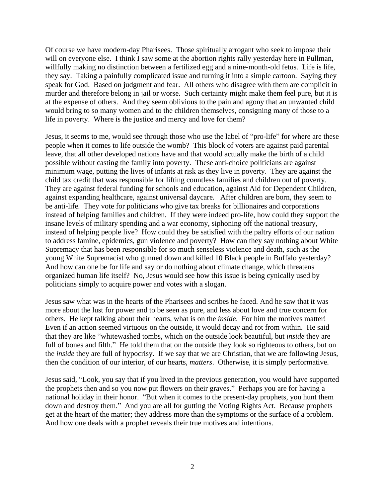Of course we have modern-day Pharisees. Those spiritually arrogant who seek to impose their will on everyone else. I think I saw some at the abortion rights rally yesterday here in Pullman, willfully making no distinction between a fertilized egg and a nine-month-old fetus. Life is life, they say. Taking a painfully complicated issue and turning it into a simple cartoon. Saying they speak for God. Based on judgment and fear. All others who disagree with them are complicit in murder and therefore belong in jail or worse. Such certainty might make them feel pure, but it is at the expense of others. And they seem oblivious to the pain and agony that an unwanted child would bring to so many women and to the children themselves, consigning many of those to a life in poverty. Where is the justice and mercy and love for them?

Jesus, it seems to me, would see through those who use the label of "pro-life" for where are these people when it comes to life outside the womb? This block of voters are against paid parental leave, that all other developed nations have and that would actually make the birth of a child possible without casting the family into poverty. These anti-choice politicians are against minimum wage, putting the lives of infants at risk as they live in poverty. They are against the child tax credit that was responsible for lifting countless families and children out of poverty. They are against federal funding for schools and education, against Aid for Dependent Children, against expanding healthcare, against universal daycare. After children are born, they seem to be anti-life. They vote for politicians who give tax breaks for billionaires and corporations instead of helping families and children. If they were indeed pro-life, how could they support the insane levels of military spending and a war economy, siphoning off the national treasury, instead of helping people live? How could they be satisfied with the paltry efforts of our nation to address famine, epidemics, gun violence and poverty? How can they say nothing about White Supremacy that has been responsible for so much senseless violence and death, such as the young White Supremacist who gunned down and killed 10 Black people in Buffalo yesterday? And how can one be for life and say or do nothing about climate change, which threatens organized human life itself? No, Jesus would see how this issue is being cynically used by politicians simply to acquire power and votes with a slogan.

Jesus saw what was in the hearts of the Pharisees and scribes he faced. And he saw that it was more about the lust for power and to be seen as pure, and less about love and true concern for others. He kept talking about their hearts, what is on the *inside*. For him the motives matter! Even if an action seemed virtuous on the outside, it would decay and rot from within. He said that they are like "whitewashed tombs, which on the outside look beautiful, but *inside* they are full of bones and filth." He told them that on the outside they look so righteous to others, but on the *inside* they are full of hypocrisy. If we say that we are Christian, that we are following Jesus, then the condition of our interior, of our hearts, *matters*. Otherwise, it is simply performative.

Jesus said, "Look, you say that if you lived in the previous generation, you would have supported the prophets then and so you now put flowers on their graves." Perhaps you are for having a national holiday in their honor. "But when it comes to the present-day prophets, you hunt them down and destroy them." And you are all for gutting the Voting Rights Act. Because prophets get at the heart of the matter; they address more than the symptoms or the surface of a problem. And how one deals with a prophet reveals their true motives and intentions.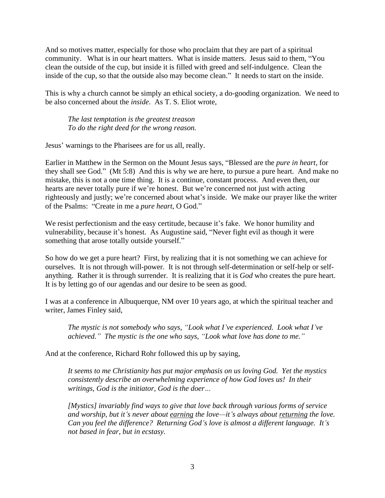And so motives matter, especially for those who proclaim that they are part of a spiritual community. What is in our heart matters. What is inside matters. Jesus said to them, "You clean the outside of the cup, but inside it is filled with greed and self-indulgence. Clean the inside of the cup, so that the outside also may become clean." It needs to start on the inside.

This is why a church cannot be simply an ethical society, a do-gooding organization. We need to be also concerned about the *inside*. As T. S. Eliot wrote,

*The last temptation is the greatest treason To do the right deed for the wrong reason.*

Jesus' warnings to the Pharisees are for us all, really.

Earlier in Matthew in the Sermon on the Mount Jesus says, "Blessed are the *pure in heart*, for they shall see God." (Mt 5:8) And this is why we are here, to pursue a pure heart. And make no mistake, this is not a one time thing. It is a continue, constant process. And even then, our hearts are never totally pure if we're honest. But we're concerned not just with acting righteously and justly; we're concerned about what's inside. We make our prayer like the writer of the Psalms: "Create in me a *pure heart*, O God."

We resist perfectionism and the easy certitude, because it's fake. We honor humility and vulnerability, because it's honest. As Augustine said, "Never fight evil as though it were something that arose totally outside yourself."

So how do we get a pure heart? First, by realizing that it is not something we can achieve for ourselves. It is not through will-power. It is not through self-determination or self-help or selfanything. Rather it is through surrender. It is realizing that it is *God* who creates the pure heart. It is by letting go of our agendas and our desire to be seen as good.

I was at a conference in Albuquerque, NM over 10 years ago, at which the spiritual teacher and writer, James Finley said,

*The mystic is not somebody who says, "Look what I've experienced. Look what I've achieved." The mystic is the one who says, "Look what love has done to me."*

And at the conference, Richard Rohr followed this up by saying,

*It seems to me Christianity has put major emphasis on us loving God. Yet the mystics consistently describe an overwhelming experience of how God loves us! In their writings, God is the initiator, God is the doer…*

*[Mystics] invariably find ways to give that love back through various forms of service and worship, but it's never about earning the love—it's always about returning the love. Can you feel the difference? Returning God's love is almost a different language. It's not based in fear, but in ecstasy.*